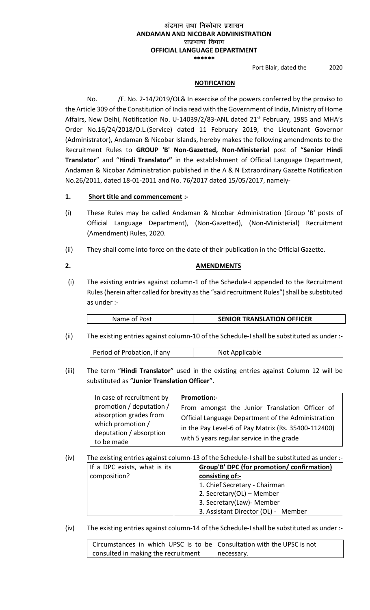### अंडमान तथा निकोबार प्रशासन **ANDAMAN AND NICOBAR ADMINISTRATION** राजभाषा विभाग **OFFICIAL LANGUAGE DEPARTMENT** \*\*\*\*\*\*

Port Blair, dated the 2020

## **NOTIFICATION**

No. /F. No. 2-14/2019/OL& In exercise of the powers conferred by the proviso to the Article 309 of the Constitution of India read with the Government of India, Ministry of Home Affairs, New Delhi, Notification No. U-14039/2/83-ANL dated 21<sup>st</sup> February, 1985 and MHA's Order No.16/24/2018/O.L.(Service) dated 11 February 2019, the Lieutenant Governor (Administrator), Andaman & Nicobar Islands, hereby makes the following amendments to the Recruitment Rules to **GROUP 'B' Non-Gazetted, Non-Ministerial** post of "**Senior Hindi Translator**" and "**Hindi Translator"** in the establishment of Official Language Department, Andaman & Nicobar Administration published in the A & N Extraordinary Gazette Notification No.26/2011, dated 18-01-2011 and No. 76/2017 dated 15/05/2017, namely-

## **1. Short title and commencement :-**

- (i) These Rules may be called Andaman & Nicobar Administration (Group 'B' posts of Official Language Department), (Non-Gazetted), (Non-Ministerial) Recruitment (Amendment) Rules, 2020.
- (ii) They shall come into force on the date of their publication in the Official Gazette.

## **2. AMENDMENTS**

(i) The existing entries against column-1 of the Schedule-I appended to the Recruitment Rules(herein after called for brevity as the "said recruitment Rules") shall be substituted as under :-

| <b>SENIOR TRANSLATION OFFICER</b><br>Name of Post |
|---------------------------------------------------|
|---------------------------------------------------|

(ii) The existing entries against column-10 of the Schedule-I shall be substituted as under :-

| Period of Probation, if any<br>Not Applicable |
|-----------------------------------------------|
|-----------------------------------------------|

(iii) The term "**Hindi Translator**" used in the existing entries against Column 12 will be substituted as "**Junior Translation Officer**".

| In case of recruitment by                                                                                        | <b>Promotion:-</b>                                                                                                                                                                                       |
|------------------------------------------------------------------------------------------------------------------|----------------------------------------------------------------------------------------------------------------------------------------------------------------------------------------------------------|
| promotion / deputation /<br>absorption grades from<br>which promotion /<br>deputation / absorption<br>to be made | From amongst the Junior Translation Officer of<br>Official Language Department of the Administration<br>in the Pay Level-6 of Pay Matrix (Rs. 35400-112400)<br>with 5 years regular service in the grade |

(iv) The existing entries against column-13 of the Schedule-I shall be substituted as under :-

| If a DPC exists, what is its $ $ | Group'B' DPC (for promotion/ confirmation) |
|----------------------------------|--------------------------------------------|
| composition?                     | consisting of:-                            |
|                                  | 1. Chief Secretary - Chairman              |
|                                  | 2. Secretary(OL) – Member                  |
|                                  | 3. Secretary(Law)- Member                  |
|                                  | 3. Assistant Director (OL) - Member        |
|                                  |                                            |

(iv) The existing entries against column-14 of the Schedule-I shall be substituted as under :-

| Circumstances in which UPSC is to be Consultation with the UPSC is not |              |
|------------------------------------------------------------------------|--------------|
| consulted in making the recruitment                                    | I necessary. |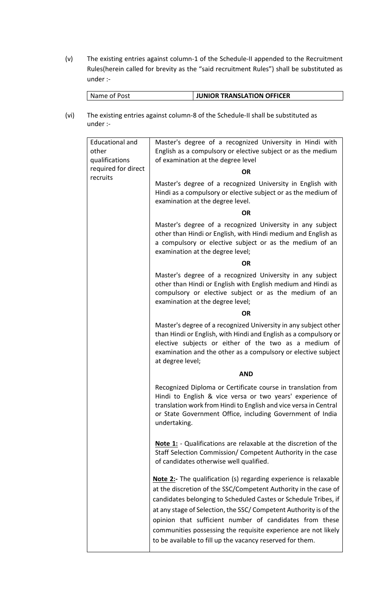(v) The existing entries against column-1 of the Schedule-II appended to the Recruitment Rules(herein called for brevity as the "said recruitment Rules") shall be substituted as under :-

| Name of Post | <b>JUNIOR TRANSLATION OFFICER</b> |
|--------------|-----------------------------------|
|              |                                   |

(vi) The existing entries against column-8 of the Schedule-II shall be substituted as under :-

|  | <b>Educational and</b><br>other<br>qualifications | Master's degree of a recognized University in Hindi with<br>English as a compulsory or elective subject or as the medium<br>of examination at the degree level                                                                                                                                                                                                                                                                                                               |
|--|---------------------------------------------------|------------------------------------------------------------------------------------------------------------------------------------------------------------------------------------------------------------------------------------------------------------------------------------------------------------------------------------------------------------------------------------------------------------------------------------------------------------------------------|
|  | required for direct<br>recruits                   | <b>OR</b>                                                                                                                                                                                                                                                                                                                                                                                                                                                                    |
|  |                                                   | Master's degree of a recognized University in English with<br>Hindi as a compulsory or elective subject or as the medium of<br>examination at the degree level.                                                                                                                                                                                                                                                                                                              |
|  |                                                   | <b>OR</b>                                                                                                                                                                                                                                                                                                                                                                                                                                                                    |
|  |                                                   | Master's degree of a recognized University in any subject<br>other than Hindi or English, with Hindi medium and English as<br>a compulsory or elective subject or as the medium of an<br>examination at the degree level;                                                                                                                                                                                                                                                    |
|  |                                                   | <b>OR</b>                                                                                                                                                                                                                                                                                                                                                                                                                                                                    |
|  |                                                   | Master's degree of a recognized University in any subject<br>other than Hindi or English with English medium and Hindi as<br>compulsory or elective subject or as the medium of an<br>examination at the degree level;                                                                                                                                                                                                                                                       |
|  |                                                   | <b>OR</b>                                                                                                                                                                                                                                                                                                                                                                                                                                                                    |
|  |                                                   | Master's degree of a recognized University in any subject other<br>than Hindi or English, with Hindi and English as a compulsory or<br>elective subjects or either of the two as a medium of<br>examination and the other as a compulsory or elective subject<br>at degree level;                                                                                                                                                                                            |
|  |                                                   | <b>AND</b>                                                                                                                                                                                                                                                                                                                                                                                                                                                                   |
|  |                                                   | Recognized Diploma or Certificate course in translation from<br>Hindi to English & vice versa or two years' experience of<br>translation work from Hindi to English and vice versa in Central<br>or State Government Office, including Government of India<br>undertaking.                                                                                                                                                                                                   |
|  |                                                   | <b>Note 1:</b> - Qualifications are relaxable at the discretion of the<br>Staff Selection Commission/ Competent Authority in the case<br>of candidates otherwise well qualified.                                                                                                                                                                                                                                                                                             |
|  |                                                   | <b>Note 2:-</b> The qualification (s) regarding experience is relaxable<br>at the discretion of the SSC/Competent Authority in the case of<br>candidates belonging to Scheduled Castes or Schedule Tribes, if<br>at any stage of Selection, the SSC/ Competent Authority is of the<br>opinion that sufficient number of candidates from these<br>communities possessing the requisite experience are not likely<br>to be available to fill up the vacancy reserved for them. |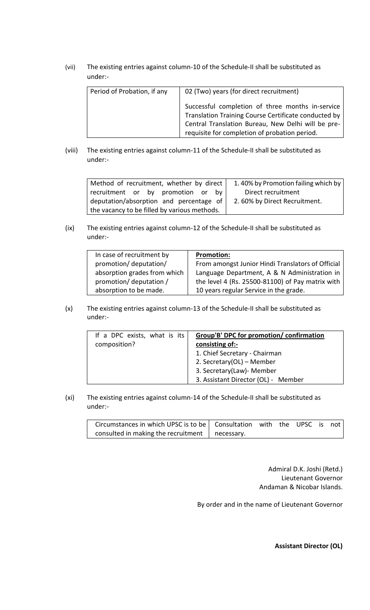(vii) The existing entries against column-10 of the Schedule-II shall be substituted as under:-

| Period of Probation, if any | 02 (Two) years (for direct recruitment)                                                                                                                                                                         |
|-----------------------------|-----------------------------------------------------------------------------------------------------------------------------------------------------------------------------------------------------------------|
|                             | Successful completion of three months in-service<br>Translation Training Course Certificate conducted by<br>Central Translation Bureau, New Delhi will be pre-<br>requisite for completion of probation period. |

(viii) The existing entries against column-11 of the Schedule-II shall be substituted as under:-

| Method of recruitment, whether by direct     | 1.40% by Promotion failing which by |  |  |  |
|----------------------------------------------|-------------------------------------|--|--|--|
| recruitment or by promotion or<br>hv         | Direct recruitment                  |  |  |  |
| deputation/absorption and percentage of      | 2.60% by Direct Recruitment.        |  |  |  |
| the vacancy to be filled by various methods. |                                     |  |  |  |

(ix) The existing entries against column-12 of the Schedule-II shall be substituted as under:-

| In case of recruitment by    | <b>Promotion:</b>                                 |
|------------------------------|---------------------------------------------------|
| promotion/deputation/        | From amongst Junior Hindi Translators of Official |
| absorption grades from which | Language Department, A & N Administration in      |
| promotion/deputation/        | the level 4 (Rs. 25500-81100) of Pay matrix with  |
| absorption to be made.       | 10 years regular Service in the grade.            |

(x) The existing entries against column-13 of the Schedule-II shall be substituted as under:-

| If a DPC exists, what is its | Group'B' DPC for promotion/ confirmation |  |  |
|------------------------------|------------------------------------------|--|--|
| composition?                 | consisting of:-                          |  |  |
|                              | 1. Chief Secretary - Chairman            |  |  |
|                              | 2. Secretary(OL) - Member                |  |  |
|                              | 3. Secretary(Law)- Member                |  |  |
|                              | 3. Assistant Director (OL) - Member      |  |  |

(xi) The existing entries against column-14 of the Schedule-II shall be substituted as under:-

| Circumstances in which UPSC is to be   Consultation with the UPSC is not |  |  |  |
|--------------------------------------------------------------------------|--|--|--|
| consulted in making the recruitment $\parallel$ necessary.               |  |  |  |

Admiral D.K. Joshi (Retd.) Lieutenant Governor Andaman & Nicobar Islands.

By order and in the name of Lieutenant Governor

**Assistant Director (OL)**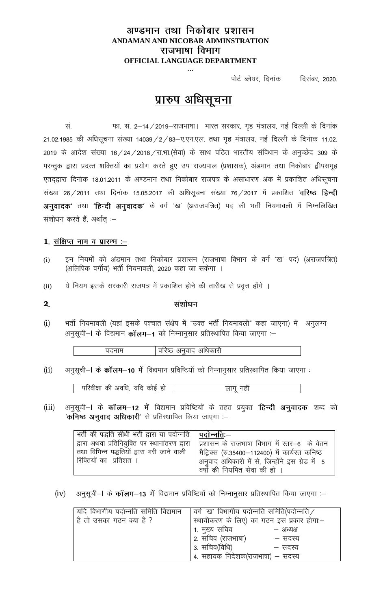## अण्डमान तथा निकोबार प्रशासन **ANDAMAN AND NICOBAR ADMINSTRATION** राजभाषा विभाग **OFFICIAL LANGUAGE DEPARTMENT**  ---

पोर्ट ब्लेयर, दिनांक दिसंबर, 2020.

# प्रारुप अधिसूचना

सं.  $\frac{1}{\pi}$  का. सं. 2–14 / 2019–राजभाषा | भारत सरकार, गृह मंत्रालय, नई दिल्ली के दिनांक 21.02.1985 की अधिसूचना संख्या 14039/2/83–ए.एन.एल. तथा गृह मंत्रालय, नई दिल्ली के दिनांक 11.02.  $2019$  के आदेश संख्या 16/24/2018/रा.भा.(सेवा) के साथ पठित भारतीय संविधान के अनुच्छेद 309 के परन्तुक द्वारा प्रदत्त शक्तियों का प्रयोग करते हुए उप राज्यपाल (प्रशासक), अंडमान तथा निकोबार द्वीपसमूह एतद्व्वारा दिनांक 18.01.2011 के अण्डमान तथा निकोबार राजपत्र के असाधारण अंक में प्रकाशित अधिसूचना संख्या 26/2011 तथा दिनांक 15.05.2017 की अधिसूचना संख्या 76/2017 में प्रकाशित 'वरिष्ठ हिन्दी अनुवादक' तथा 'हिन्दी अनुवादक' के वर्ग 'ख' (अराजपत्रित) पद की भर्ती नियमावली में निम्नलिखित संशोधन करते हैं, अर्थात् :-

## 1. संक्षिप्त नाम व प्रारम्भ :-

- (i) हन नियमों को अंडमान तथा निकोबार प्रशासन (राजभाषा विभाग के वर्ग 'ख' पद) (अराजपत्रित) (अलिपिक वर्गीय) भर्ती नियमावली, 2020 कहा जा सकेगा ।
- (ii) ये नियम इसके सरकारी राजपत्र में प्रकाशित होने की तारीख से प्रवृत्त होंगे ।

(i) भर्ती नियमावली (यहां इसके पश्चात संक्षेप में "उक्त भर्ती नियमावली" कहा जाएगा) में अनूलग्न अनुसूची-I के विद्यमान कॉलम-1 को निम्नानुसार प्रतिस्थापित किया जाएगा :-

 $\frac{1}{2}$ पदनाम $\frac{1}{2}$  वरिष्ठ अनुवाद अधिकारी

(ii) अनुसूची-I के कॉलम-10 में विद्यमान प्रविष्टियों को निम्नानुसार प्रतिस्थापित किया जाएगा:

<u>परिवीक्षा की अवधि, यदि कोई हो | बाल पार क</u>ागू नही

(iii) अनुसूची-। के कॉलम-12 में विद्यमान प्रविष्टियों के तहत प्रयुक्त 'हिन्दी अनुवादक' शब्द को 'क**निष्ठ अनुवाद अधिकारी**' से प्रतिस्थापित किया जाएगा :–

| भर्ती की पद्धति सीधी भर्ती द्वारा या पदोन्नति   <b>पदोन्नति</b> :— |                                                                                              |
|--------------------------------------------------------------------|----------------------------------------------------------------------------------------------|
|                                                                    | द्वारा अथवा प्रतिनियुक्ति पर स्थानांतरण द्वारा   प्रशासन के राजभाषा विभाग में स्तर-6 के वेतन |
|                                                                    | तथा विभिन्न पद्धतियों द्वारा भरी जाने वाली   मैट्रिक्स (रु.35400-112400) में कार्यरत कनिष्ठ  |
| रिक्तियों का प्रतिशत ।                                             | <sup> </sup> अनुवाद अधिकारी में से, जिन्होंने इस ग्रेड में  5                                |
|                                                                    | वर्षों की नियमित सेवा की हो ।                                                                |

(iv) अनुसूची-I के कॉलम-13 में विद्यमान प्रविष्टियों को निम्नानुसार प्रतिस्थापित किया जाएगा :-

| यदि विभागीय पदोन्नति समिति विद्यमान | वर्ग 'ख' विभागीय पदोन्नति समिति(पदोन्नति / |                                           |
|-------------------------------------|--------------------------------------------|-------------------------------------------|
| है तो उसका गठन क्या है ?            |                                            | स्थायीकरण के लिए) का गठन इस प्रकार होगा:- |
|                                     | 1. मुख्य सचिव                              | – अध्यक्ष                                 |
|                                     | 2. सचिव (राजभाषा)                          | — सदस्य                                   |
|                                     | 3. सचिव(विधि)                              | — सदस्य                                   |
|                                     | 4. सहायक निदेशक(राजभाषा) – सदस्य           |                                           |

**2**

संशोधन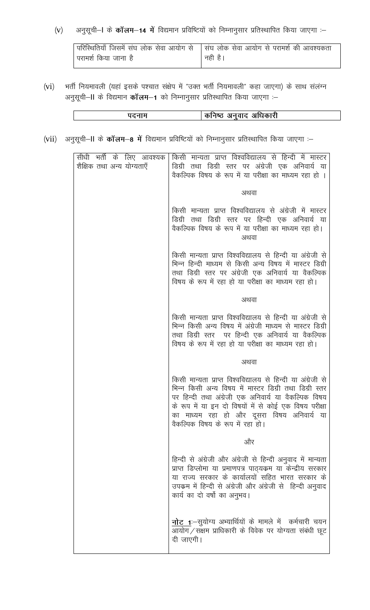अनुसूची–1 के **कॉलम–14 में** विद्यमान प्रविष्टियों को निम्नानुसार प्रतिस्थापित किया जाएगा :–  $(v)$ 

|                        | [परिस्थितियाँ जिसमें संघ लोक सेवा आयोग से    संघ लोक सेवा आयोग से परामर्श की आवश्यकता |
|------------------------|---------------------------------------------------------------------------------------|
| । परामर्श किया जाना है | <sup>।</sup> नही है।                                                                  |

 $(vi)$ भर्ती नियमावली (यहां इसके पश्चात संक्षेप में "उक्त भर्ती नियमावली" कहा जाएगा) के साथ संलंग्न अनुसूची–II के विद्यमान कॉलम–1 को निम्नानुसार प्रतिस्थापित किया जाएगा :–

| आधकारा<br>अनवाद<br>नष्ठ<br>ΦI |
|-------------------------------|

(vii) अनुसूची-II के कॉलम-8 में विद्यमान प्रविष्टियों को निम्नानुसार प्रतिस्थापित किया जाएगा :-

| सीधी भती के लिए आवश्यक<br>शैक्षिक तथा अन्य योग्यताएँ | किसी मान्यता प्राप्त विश्वविद्यालय से हिन्दी में मास्टर<br>डिग्री तथा डिग्री स्तर पर अंग्रेजी एक अनिवार्य या<br>वैकल्पिक विषय के रूप में या परीक्षा का माध्यम रहा हो ।                                                                                                                                                 |
|------------------------------------------------------|------------------------------------------------------------------------------------------------------------------------------------------------------------------------------------------------------------------------------------------------------------------------------------------------------------------------|
|                                                      | अथवा                                                                                                                                                                                                                                                                                                                   |
|                                                      | किसी मान्यता प्राप्त विश्वविद्यालय से अंग्रेजी में मास्टर<br>डिग्री तथा डिग्री स्तर पर हिन्दी एक अनिवार्य या<br>वैकल्पिक विषय के रूप में या परीक्षा का माध्यम रहा हो।<br>अथवा                                                                                                                                          |
|                                                      | किसी मान्यता प्राप्त विश्वविद्यालय से हिन्दी या अंग्रेजी से<br>भिन्न हिन्दी माध्यम से किसी अन्य विषय में मास्टर डिग्री<br>तथा डिग्री स्तर पर अंग्रेजी एक अनिवार्य या वैकल्पिक<br>विषय के रूप में रहा हो या परीक्षा का माध्यम रहा हो।                                                                                   |
|                                                      | अथवा                                                                                                                                                                                                                                                                                                                   |
|                                                      | किसी मान्यता प्राप्त विश्वविद्यालय से हिन्दी या अंग्रेजी से<br>भिन्न किसी अन्य विषय में अंग्रेजी माध्यम से मास्टर डिग्री<br>तथा डिग्री स्तर पर हिन्दी एक अनिवार्य या वैकल्पिक<br>विषय के रूप में रहा हो या परीक्षा का माध्यम रहा हो।                                                                                   |
|                                                      | अथवा                                                                                                                                                                                                                                                                                                                   |
|                                                      | किसी मान्यता प्राप्त विश्वविद्यालय से हिन्दी या अंग्रेजी से<br>भिन्न किसी अन्य विषय में मास्टर डिग्री तथा डिग्री स्तर<br>पर हिन्दी तथा अंग्रेजी एक अनिवार्य या वैकल्पिक विषय<br>के रूप में या इन दो विषयों में से कोई एक विषय परीक्षा<br>का माध्यम रहा हो और दूसरा विषय अनिवायं या<br>वैकल्पिक विषय के रूप में रहा हो। |
|                                                      | और                                                                                                                                                                                                                                                                                                                     |
|                                                      | हिन्दी से अंग्रेजी और अंग्रेजी से हिन्दी अनुवाद में मान्यता<br>प्राप्त डिप्लोमा या प्रमाणपत्र पाठ्यक्रम या केन्द्रीय सरकार<br>या राज्य सरकार के कार्यालयों सहित भारत सरकार के<br>उपक्रम में हिन्दी से अंग्रेजी और अंग्रेजी से हिन्दी अनुवाद<br>कार्य का दो वर्षो का अनुभव।                                             |
|                                                      | <u>नोट 1</u> :–सुयोग्य अभ्यार्थियों के मामले में  कर्मचारी चयन<br>आयोग / सक्षम प्राधिकारी के विवेक पर योग्यता संबंधी छूट<br>दी जाएगी।                                                                                                                                                                                  |